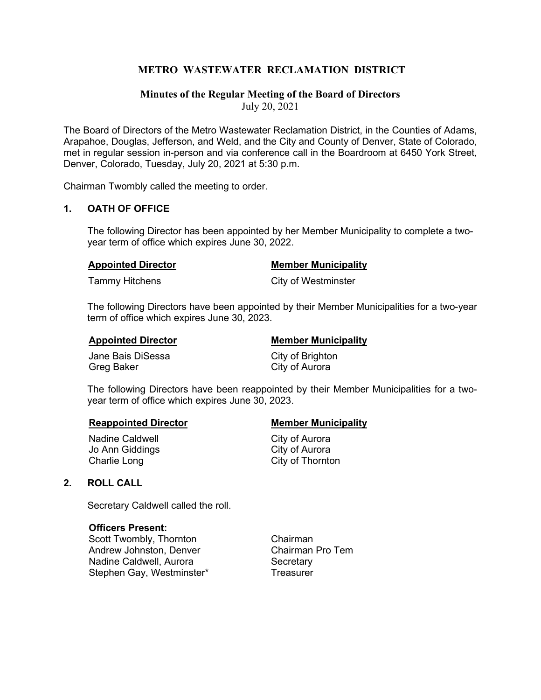# **METRO WASTEWATER RECLAMATION DISTRICT**

# **Minutes of the Regular Meeting of the Board of Directors** July 20, 2021

The Board of Directors of the Metro Wastewater Reclamation District, in the Counties of Adams, Arapahoe, Douglas, Jefferson, and Weld, and the City and County of Denver, State of Colorado, met in regular session in-person and via conference call in the Boardroom at 6450 York Street, Denver, Colorado, Tuesday, July 20, 2021 at 5:30 p.m.

Chairman Twombly called the meeting to order.

# **1. OATH OF OFFICE**

The following Director has been appointed by her Member Municipality to complete a twoyear term of office which expires June 30, 2022.

#### **Appointed Director Member Municipality**

Tammy Hitchens **City of Westminster** 

The following Directors have been appointed by their Member Municipalities for a two-year term of office which expires June 30, 2023.

**Appointed Director Member Municipality** 

Jane Bais DiSessa City of Brighton Greg Baker City of Aurora

The following Directors have been reappointed by their Member Municipalities for a twoyear term of office which expires June 30, 2023.

Nadine Caldwell **National City of Aurora** Jo Ann Giddings **City of Aurora** Charlie Long Charlie Long

#### **Reappointed Director Municipality Member Municipality**

# **2. ROLL CALL**

Secretary Caldwell called the roll.

#### **Officers Present:**

Scott Twombly, Thornton Chairman Andrew Johnston, Denver Nadine Caldwell, Aurora **Secretary** Stephen Gay, Westminster\* Treasurer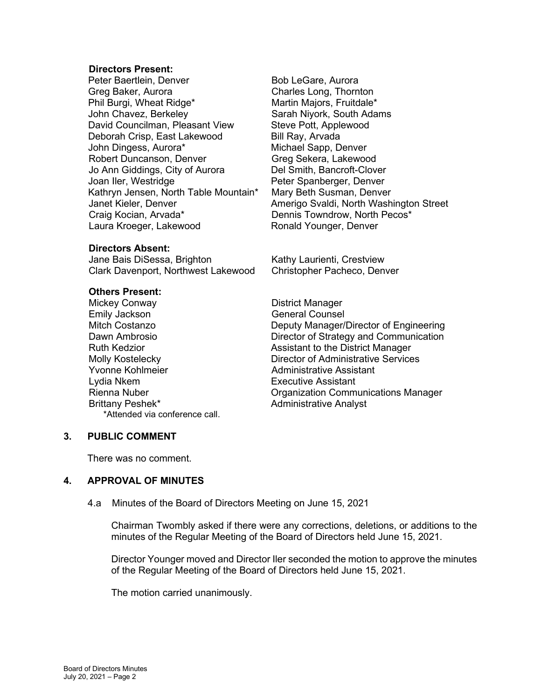#### **Directors Present:**

Peter Baertlein, Denver Bob LeGare, Aurora Greg Baker, Aurora Charles Long, Thornton Phil Burgi, Wheat Ridge\* John Chavez, Berkeley Sarah Nivork, South Adams David Councilman, Pleasant View Steve Pott, Applewood Deborah Crisp, East Lakewood Bill Ray, Arvada John Dingess, Aurora\* Michael Sapp, Denver Robert Duncanson, Denver Greg Sekera, Lakewood<br>Jo Ann Giddings, City of Aurora Burgher Schotth, Bancroft-Clover Jo Ann Giddings, City of Aurora<br>Joan Iler, Westridge Kathryn Jensen, North Table Mountain\* Mary Beth Susman, Denver Craig Kocian, Arvada\* The Craig Kocian, Arvada\* Dennis Towndrow, North Pecos\* Laura Kroeger, Lakewood Ronald Younger, Denver

#### **Directors Absent:**

Jane Bais DiSessa, Brighton **Kathy Laurienti, Crestview** Clark Davenport, Northwest Lakewood Christopher Pacheco, Denver

# **Others Present:**<br>Mickey Conway

Emily Jackson General Counsel Yvonne Kohlmeier **Administrative Assistant**<br>
Lydia Nkem **Australian Executive Assistant** Brittany Peshek\* Administrative Analyst \*Attended via conference call.

Peter Spanberger, Denver Janet Kieler, Denver Amerigo Svaldi, North Washington Street

District Manager Mitch Costanzo **Deputy Manager/Director of Engineering** Dawn Ambrosio **Director of Strategy and Communication** Ruth Kedzior **Assistant to the District Manager** Assistant to the District Manager Molly Kostelecky Director of Administrative Services **Executive Assistant** Rienna Nuber Organization Communications Manager

#### **3. PUBLIC COMMENT**

There was no comment.

#### **4. APPROVAL OF MINUTES**

4.a Minutes of the Board of Directors Meeting on June 15, 2021

Chairman Twombly asked if there were any corrections, deletions, or additions to the minutes of the Regular Meeting of the Board of Directors held June 15, 2021.

Director Younger moved and Director Iler seconded the motion to approve the minutes of the Regular Meeting of the Board of Directors held June 15, 2021.

The motion carried unanimously.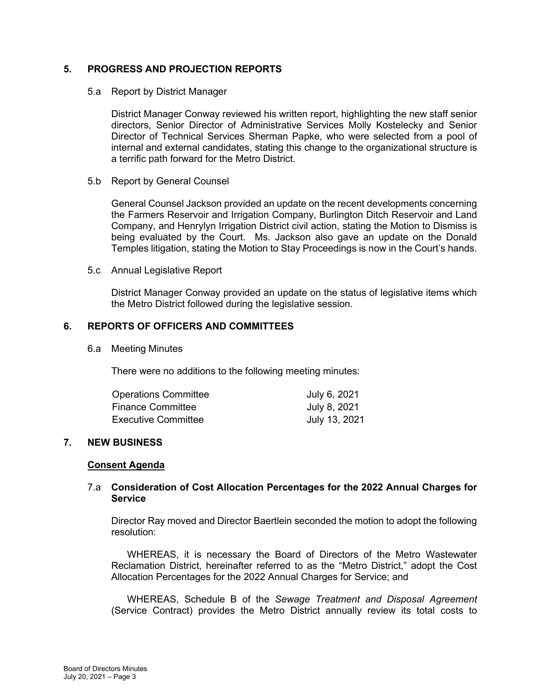# **5. PROGRESS AND PROJECTION REPORTS**

5.a Report by District Manager

District Manager Conway reviewed his written report, highlighting the new staff senior directors, Senior Director of Administrative Services Molly Kostelecky and Senior Director of Technical Services Sherman Papke, who were selected from a pool of internal and external candidates, stating this change to the organizational structure is a terrific path forward for the Metro District.

5.b Report by General Counsel

General Counsel Jackson provided an update on the recent developments concerning the Farmers Reservoir and Irrigation Company, Burlington Ditch Reservoir and Land Company, and Henrylyn Irrigation District civil action, stating the Motion to Dismiss is being evaluated by the Court. Ms. Jackson also gave an update on the Donald Temples litigation, stating the Motion to Stay Proceedings is now in the Court's hands.

5.c Annual Legislative Report

District Manager Conway provided an update on the status of legislative items which the Metro District followed during the legislative session.

# **6. REPORTS OF OFFICERS AND COMMITTEES**

6.a Meeting Minutes

There were no additions to the following meeting minutes:

| <b>Operations Committee</b> | July 6, 2021  |
|-----------------------------|---------------|
| Finance Committee           | July 8, 2021  |
| <b>Executive Committee</b>  | July 13, 2021 |

# **7. NEW BUSINESS**

#### **Consent Agenda**

### 7.a **Consideration of Cost Allocation Percentages for the 2022 Annual Charges for Service**

Director Ray moved and Director Baertlein seconded the motion to adopt the following resolution:

WHEREAS, it is necessary the Board of Directors of the Metro Wastewater Reclamation District, hereinafter referred to as the "Metro District," adopt the Cost Allocation Percentages for the 2022 Annual Charges for Service; and

WHEREAS, Schedule B of the *Sewage Treatment and Disposal Agreement* (Service Contract) provides the Metro District annually review its total costs to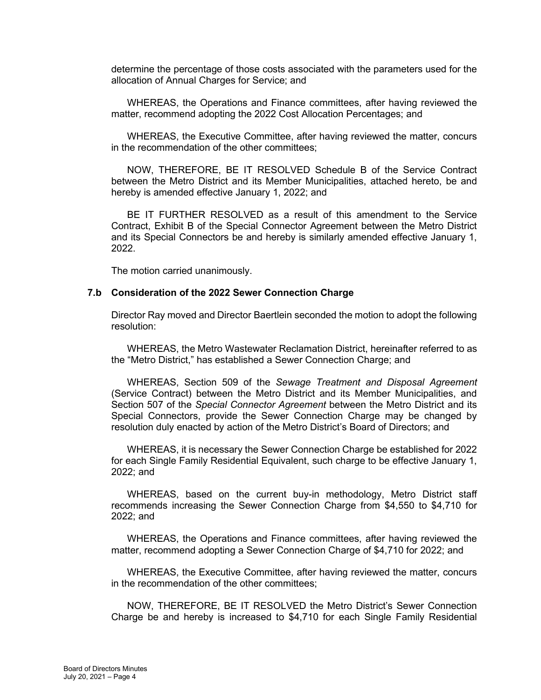determine the percentage of those costs associated with the parameters used for the allocation of Annual Charges for Service; and

WHEREAS, the Operations and Finance committees, after having reviewed the matter, recommend adopting the 2022 Cost Allocation Percentages; and

WHEREAS, the Executive Committee, after having reviewed the matter, concurs in the recommendation of the other committees;

NOW, THEREFORE, BE IT RESOLVED Schedule B of the Service Contract between the Metro District and its Member Municipalities, attached hereto, be and hereby is amended effective January 1, 2022; and

BE IT FURTHER RESOLVED as a result of this amendment to the Service Contract, Exhibit B of the Special Connector Agreement between the Metro District and its Special Connectors be and hereby is similarly amended effective January 1, 2022.

The motion carried unanimously.

#### **7.b Consideration of the 2022 Sewer Connection Charge**

Director Ray moved and Director Baertlein seconded the motion to adopt the following resolution:

WHEREAS, the Metro Wastewater Reclamation District, hereinafter referred to as the "Metro District," has established a Sewer Connection Charge; and

WHEREAS, Section 509 of the *Sewage Treatment and Disposal Agreement* (Service Contract) between the Metro District and its Member Municipalities, and Section 507 of the *Special Connector Agreement* between the Metro District and its Special Connectors, provide the Sewer Connection Charge may be changed by resolution duly enacted by action of the Metro District's Board of Directors; and

WHEREAS, it is necessary the Sewer Connection Charge be established for 2022 for each Single Family Residential Equivalent, such charge to be effective January 1, 2022; and

WHEREAS, based on the current buy-in methodology, Metro District staff recommends increasing the Sewer Connection Charge from \$4,550 to \$4,710 for 2022; and

WHEREAS, the Operations and Finance committees, after having reviewed the matter, recommend adopting a Sewer Connection Charge of \$4,710 for 2022; and

WHEREAS, the Executive Committee, after having reviewed the matter, concurs in the recommendation of the other committees;

NOW, THEREFORE, BE IT RESOLVED the Metro District's Sewer Connection Charge be and hereby is increased to \$4,710 for each Single Family Residential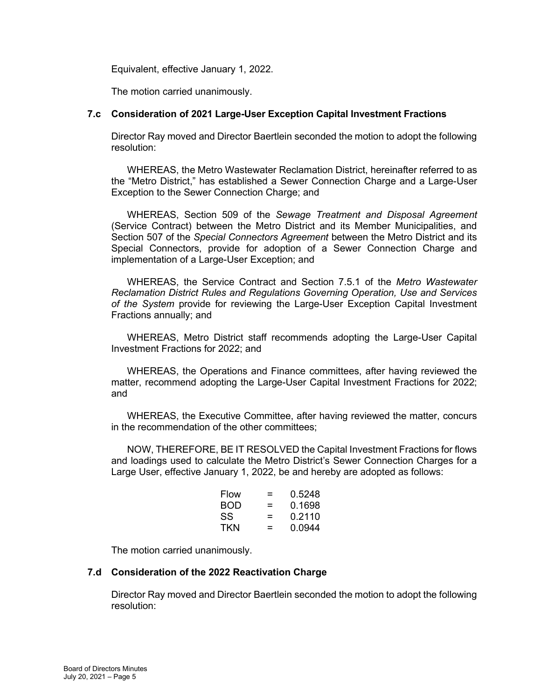Equivalent, effective January 1, 2022.

The motion carried unanimously.

# **7.c Consideration of 2021 Large-User Exception Capital Investment Fractions**

Director Ray moved and Director Baertlein seconded the motion to adopt the following resolution:

WHEREAS, the Metro Wastewater Reclamation District, hereinafter referred to as the "Metro District," has established a Sewer Connection Charge and a Large-User Exception to the Sewer Connection Charge; and

WHEREAS, Section 509 of the *Sewage Treatment and Disposal Agreement* (Service Contract) between the Metro District and its Member Municipalities, and Section 507 of the *Special Connectors Agreement* between the Metro District and its Special Connectors, provide for adoption of a Sewer Connection Charge and implementation of a Large-User Exception; and

WHEREAS, the Service Contract and Section 7.5.1 of the *Metro Wastewater Reclamation District Rules and Regulations Governing Operation, Use and Services of the System* provide for reviewing the Large-User Exception Capital Investment Fractions annually; and

WHEREAS, Metro District staff recommends adopting the Large-User Capital Investment Fractions for 2022; and

WHEREAS, the Operations and Finance committees, after having reviewed the matter, recommend adopting the Large-User Capital Investment Fractions for 2022; and

WHEREAS, the Executive Committee, after having reviewed the matter, concurs in the recommendation of the other committees;

NOW, THEREFORE, BE IT RESOLVED the Capital Investment Fractions for flows and loadings used to calculate the Metro District's Sewer Connection Charges for a Large User, effective January 1, 2022, be and hereby are adopted as follows:

| Flow | = | 0.5248 |
|------|---|--------|
| BOD  | = | 0.1698 |
| SS   | = | 0.2110 |
| TKN  | = | 0.0944 |

The motion carried unanimously.

#### **7.d Consideration of the 2022 Reactivation Charge**

Director Ray moved and Director Baertlein seconded the motion to adopt the following resolution: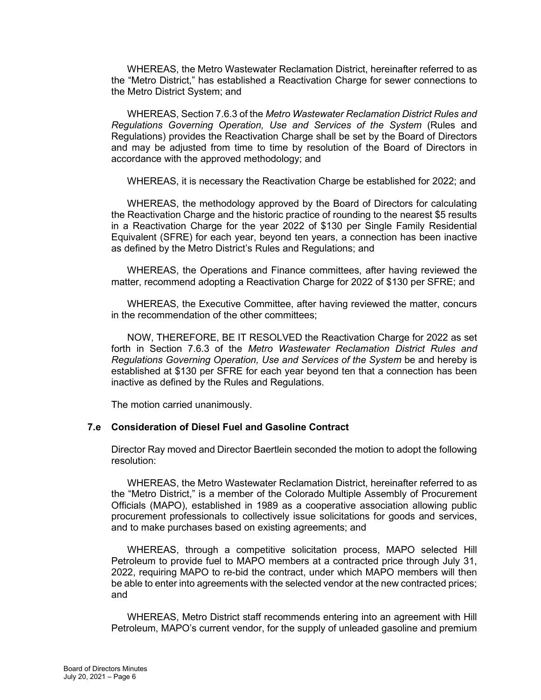WHEREAS, the Metro Wastewater Reclamation District, hereinafter referred to as the "Metro District," has established a Reactivation Charge for sewer connections to the Metro District System; and

WHEREAS, Section 7.6.3 of the *Metro Wastewater Reclamation District Rules and Regulations Governing Operation, Use and Services of the System* (Rules and Regulations) provides the Reactivation Charge shall be set by the Board of Directors and may be adjusted from time to time by resolution of the Board of Directors in accordance with the approved methodology; and

WHEREAS, it is necessary the Reactivation Charge be established for 2022; and

WHEREAS, the methodology approved by the Board of Directors for calculating the Reactivation Charge and the historic practice of rounding to the nearest \$5 results in a Reactivation Charge for the year 2022 of \$130 per Single Family Residential Equivalent (SFRE) for each year, beyond ten years, a connection has been inactive as defined by the Metro District's Rules and Regulations; and

WHEREAS, the Operations and Finance committees, after having reviewed the matter, recommend adopting a Reactivation Charge for 2022 of \$130 per SFRE; and

WHEREAS, the Executive Committee, after having reviewed the matter, concurs in the recommendation of the other committees;

NOW, THEREFORE, BE IT RESOLVED the Reactivation Charge for 2022 as set forth in Section 7.6.3 of the *Metro Wastewater Reclamation District Rules and Regulations Governing Operation, Use and Services of the System* be and hereby is established at \$130 per SFRE for each year beyond ten that a connection has been inactive as defined by the Rules and Regulations.

The motion carried unanimously.

#### **7.e Consideration of Diesel Fuel and Gasoline Contract**

Director Ray moved and Director Baertlein seconded the motion to adopt the following resolution:

WHEREAS, the Metro Wastewater Reclamation District, hereinafter referred to as the "Metro District," is a member of the Colorado Multiple Assembly of Procurement Officials (MAPO), established in 1989 as a cooperative association allowing public procurement professionals to collectively issue solicitations for goods and services, and to make purchases based on existing agreements; and

WHEREAS, through a competitive solicitation process, MAPO selected Hill Petroleum to provide fuel to MAPO members at a contracted price through July 31, 2022, requiring MAPO to re-bid the contract, under which MAPO members will then be able to enter into agreements with the selected vendor at the new contracted prices; and

WHEREAS, Metro District staff recommends entering into an agreement with Hill Petroleum, MAPO's current vendor, for the supply of unleaded gasoline and premium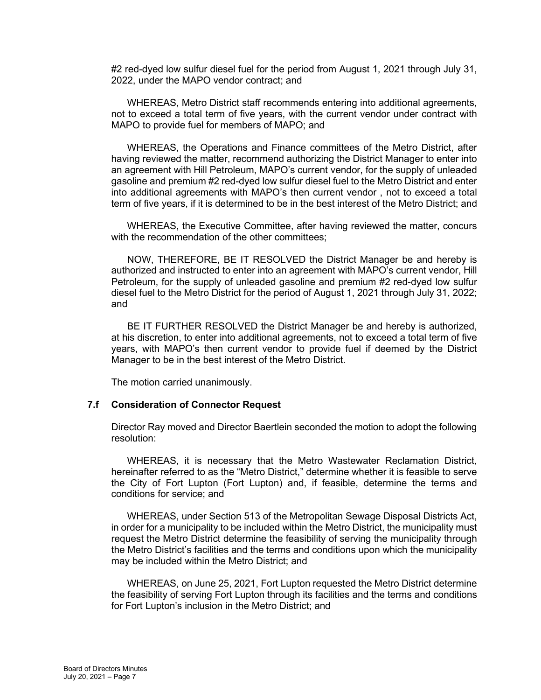#2 red-dyed low sulfur diesel fuel for the period from August 1, 2021 through July 31, 2022, under the MAPO vendor contract; and

WHEREAS, Metro District staff recommends entering into additional agreements, not to exceed a total term of five years, with the current vendor under contract with MAPO to provide fuel for members of MAPO; and

WHEREAS, the Operations and Finance committees of the Metro District, after having reviewed the matter, recommend authorizing the District Manager to enter into an agreement with Hill Petroleum, MAPO's current vendor, for the supply of unleaded gasoline and premium #2 red-dyed low sulfur diesel fuel to the Metro District and enter into additional agreements with MAPO's then current vendor , not to exceed a total term of five years, if it is determined to be in the best interest of the Metro District; and

WHEREAS, the Executive Committee, after having reviewed the matter, concurs with the recommendation of the other committees;

NOW, THEREFORE, BE IT RESOLVED the District Manager be and hereby is authorized and instructed to enter into an agreement with MAPO's current vendor, Hill Petroleum, for the supply of unleaded gasoline and premium #2 red-dyed low sulfur diesel fuel to the Metro District for the period of August 1, 2021 through July 31, 2022; and

BE IT FURTHER RESOLVED the District Manager be and hereby is authorized, at his discretion, to enter into additional agreements, not to exceed a total term of five years, with MAPO's then current vendor to provide fuel if deemed by the District Manager to be in the best interest of the Metro District.

The motion carried unanimously.

#### **7.f Consideration of Connector Request**

Director Ray moved and Director Baertlein seconded the motion to adopt the following resolution:

WHEREAS, it is necessary that the Metro Wastewater Reclamation District, hereinafter referred to as the "Metro District," determine whether it is feasible to serve the City of Fort Lupton (Fort Lupton) and, if feasible, determine the terms and conditions for service; and

WHEREAS, under Section 513 of the Metropolitan Sewage Disposal Districts Act, in order for a municipality to be included within the Metro District, the municipality must request the Metro District determine the feasibility of serving the municipality through the Metro District's facilities and the terms and conditions upon which the municipality may be included within the Metro District; and

WHEREAS, on June 25, 2021, Fort Lupton requested the Metro District determine the feasibility of serving Fort Lupton through its facilities and the terms and conditions for Fort Lupton's inclusion in the Metro District; and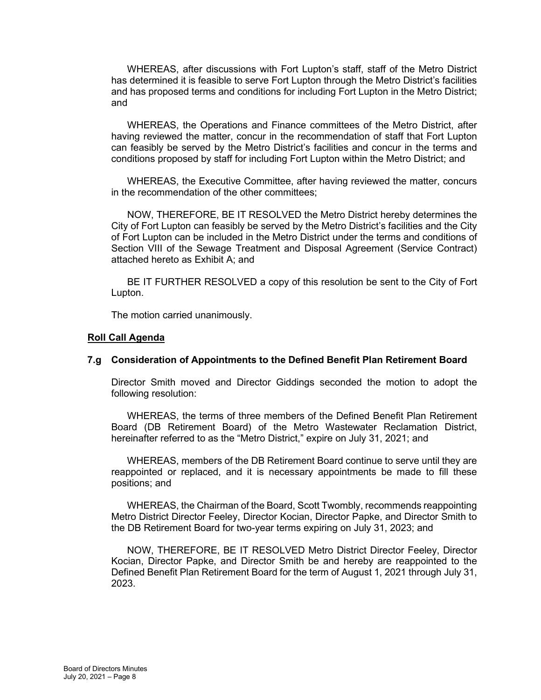WHEREAS, after discussions with Fort Lupton's staff, staff of the Metro District has determined it is feasible to serve Fort Lupton through the Metro District's facilities and has proposed terms and conditions for including Fort Lupton in the Metro District; and

WHEREAS, the Operations and Finance committees of the Metro District, after having reviewed the matter, concur in the recommendation of staff that Fort Lupton can feasibly be served by the Metro District's facilities and concur in the terms and conditions proposed by staff for including Fort Lupton within the Metro District; and

WHEREAS, the Executive Committee, after having reviewed the matter, concurs in the recommendation of the other committees;

NOW, THEREFORE, BE IT RESOLVED the Metro District hereby determines the City of Fort Lupton can feasibly be served by the Metro District's facilities and the City of Fort Lupton can be included in the Metro District under the terms and conditions of Section VIII of the Sewage Treatment and Disposal Agreement (Service Contract) attached hereto as Exhibit A; and

BE IT FURTHER RESOLVED a copy of this resolution be sent to the City of Fort Lupton.

The motion carried unanimously.

#### **Roll Call Agenda**

#### **7.g Consideration of Appointments to the Defined Benefit Plan Retirement Board**

Director Smith moved and Director Giddings seconded the motion to adopt the following resolution:

WHEREAS, the terms of three members of the Defined Benefit Plan Retirement Board (DB Retirement Board) of the Metro Wastewater Reclamation District, hereinafter referred to as the "Metro District," expire on July 31, 2021; and

WHEREAS, members of the DB Retirement Board continue to serve until they are reappointed or replaced, and it is necessary appointments be made to fill these positions; and

WHEREAS, the Chairman of the Board, Scott Twombly, recommends reappointing Metro District Director Feeley, Director Kocian, Director Papke, and Director Smith to the DB Retirement Board for two-year terms expiring on July 31, 2023; and

NOW, THEREFORE, BE IT RESOLVED Metro District Director Feeley, Director Kocian, Director Papke, and Director Smith be and hereby are reappointed to the Defined Benefit Plan Retirement Board for the term of August 1, 2021 through July 31, 2023.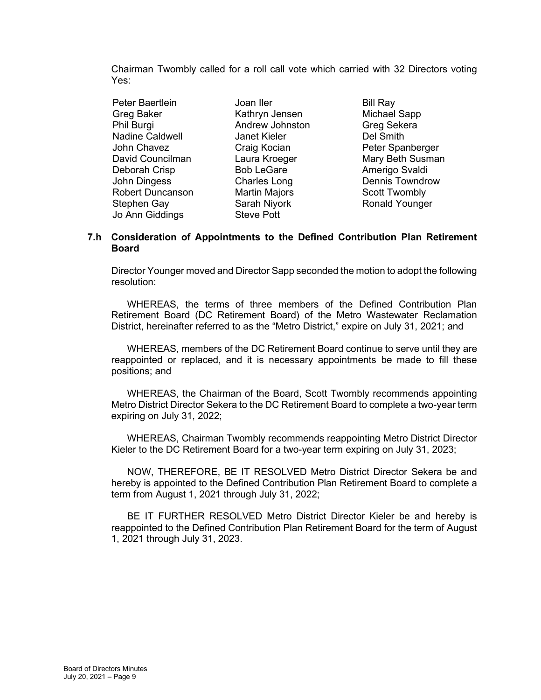Chairman Twombly called for a roll call vote which carried with 32 Directors voting Yes:

Peter Baertlein **Joan Iler Bill Ray** Greg Baker Kathryn Jensen Michael Sapp Phil Burgi **Andrew Johnston** Greg Sekera Nadine Caldwell **Janet Kieler** Del Smith John Chavez **Craig Kocian** Peter Spanberger David Councilman Laura Kroeger Mary Beth Susman Deborah Crisp Bob LeGare Amerigo Svaldi<br>John Dingess Charles Long Dennis Towndro John Dingess Charles Long Dennis Towndrow Robert Duncanson Martin Majors Scott Twombly Stephen Gay **Sarah Niyork** Ronald Younger Jo Ann Giddings Steve Pott

### **7.h Consideration of Appointments to the Defined Contribution Plan Retirement Board**

Director Younger moved and Director Sapp seconded the motion to adopt the following resolution:

WHEREAS, the terms of three members of the Defined Contribution Plan Retirement Board (DC Retirement Board) of the Metro Wastewater Reclamation District, hereinafter referred to as the "Metro District," expire on July 31, 2021; and

WHEREAS, members of the DC Retirement Board continue to serve until they are reappointed or replaced, and it is necessary appointments be made to fill these positions; and

WHEREAS, the Chairman of the Board, Scott Twombly recommends appointing Metro District Director Sekera to the DC Retirement Board to complete a two-year term expiring on July 31, 2022;

WHEREAS, Chairman Twombly recommends reappointing Metro District Director Kieler to the DC Retirement Board for a two-year term expiring on July 31, 2023;

NOW, THEREFORE, BE IT RESOLVED Metro District Director Sekera be and hereby is appointed to the Defined Contribution Plan Retirement Board to complete a term from August 1, 2021 through July 31, 2022;

BE IT FURTHER RESOLVED Metro District Director Kieler be and hereby is reappointed to the Defined Contribution Plan Retirement Board for the term of August 1, 2021 through July 31, 2023.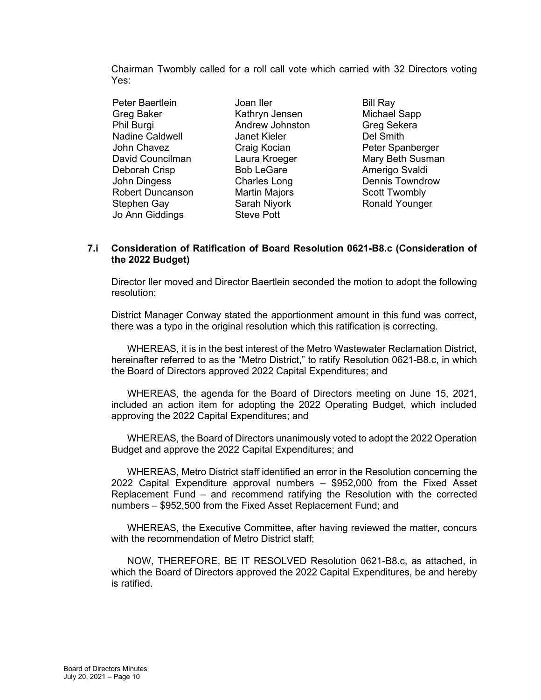Chairman Twombly called for a roll call vote which carried with 32 Directors voting Yes:

Peter Baertlein **Joan Iler Bill Ray** Greg Baker Kathryn Jensen Michael Sapp Phil Burgi Andrew Johnston Greg Sekera Nadine Caldwell **Janet Kieler** John Chavez **Craig Kocian** Peter Spanberger David Councilman Laura Kroeger Mary Beth Susman Deborah Crisp Bob LeGare Amerigo Svaldi<br>John Dingess Charles Long Dennis Towndro John Dingess Charles Long Dennis Towndrow Robert Duncanson Martin Majors Scott Twombly Stephen Gay **Sarah Niyork** Ronald Younger Jo Ann Giddings Steve Pott

### **7.i Consideration of Ratification of Board Resolution 0621-B8.c (Consideration of the 2022 Budget)**

Director Iler moved and Director Baertlein seconded the motion to adopt the following resolution:

District Manager Conway stated the apportionment amount in this fund was correct, there was a typo in the original resolution which this ratification is correcting.

WHEREAS, it is in the best interest of the Metro Wastewater Reclamation District, hereinafter referred to as the "Metro District," to ratify Resolution 0621-B8.c, in which the Board of Directors approved 2022 Capital Expenditures; and

WHEREAS, the agenda for the Board of Directors meeting on June 15, 2021, included an action item for adopting the 2022 Operating Budget, which included approving the 2022 Capital Expenditures; and

WHEREAS, the Board of Directors unanimously voted to adopt the 2022 Operation Budget and approve the 2022 Capital Expenditures; and

WHEREAS, Metro District staff identified an error in the Resolution concerning the 2022 Capital Expenditure approval numbers – \$952,000 from the Fixed Asset Replacement Fund – and recommend ratifying the Resolution with the corrected numbers – \$952,500 from the Fixed Asset Replacement Fund; and

WHEREAS, the Executive Committee, after having reviewed the matter, concurs with the recommendation of Metro District staff;

NOW, THEREFORE, BE IT RESOLVED Resolution 0621-B8.c, as attached, in which the Board of Directors approved the 2022 Capital Expenditures, be and hereby is ratified.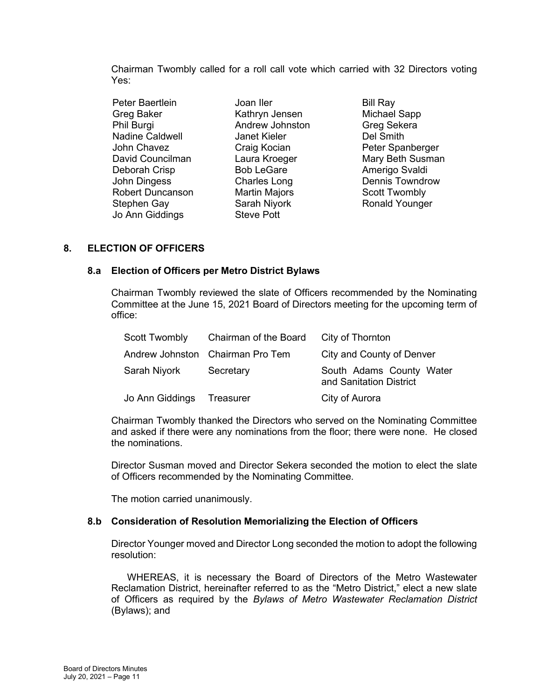Chairman Twombly called for a roll call vote which carried with 32 Directors voting Yes:

Peter Baertlein **Joan Iler Bill Ray** Greg Baker Kathryn Jensen Michael Sapp Phil Burgi Andrew Johnston Greg Sekera Nadine Caldwell John Chavez **Craig Kocian** Peter Spanberger Deborah Crisp Bob LeGare Amerigo Svaldi<br>John Dingess Charles Long Dennis Towndro Robert Duncanson Martin Majors Scott Twombly Stephen Gay **Sarah Niyork** Ronald Younger Jo Ann Giddings Steve Pott

David Councilman Laura Kroeger Mary Beth Susman Dennis Towndrow

# **8. ELECTION OF OFFICERS**

# **8.a Election of Officers per Metro District Bylaws**

Chairman Twombly reviewed the slate of Officers recommended by the Nominating Committee at the June 15, 2021 Board of Directors meeting for the upcoming term of office:

| <b>Scott Twombly</b> | Chairman of the Board            | City of Thornton                                    |
|----------------------|----------------------------------|-----------------------------------------------------|
|                      | Andrew Johnston Chairman Pro Tem | City and County of Denver                           |
| Sarah Niyork         | Secretary                        | South Adams County Water<br>and Sanitation District |
| Jo Ann Giddings      | Treasurer                        | City of Aurora                                      |

Chairman Twombly thanked the Directors who served on the Nominating Committee and asked if there were any nominations from the floor; there were none. He closed the nominations.

Director Susman moved and Director Sekera seconded the motion to elect the slate of Officers recommended by the Nominating Committee.

The motion carried unanimously.

# **8.b Consideration of Resolution Memorializing the Election of Officers**

Director Younger moved and Director Long seconded the motion to adopt the following resolution:

WHEREAS, it is necessary the Board of Directors of the Metro Wastewater Reclamation District, hereinafter referred to as the "Metro District," elect a new slate of Officers as required by the *Bylaws of Metro Wastewater Reclamation District*  (Bylaws); and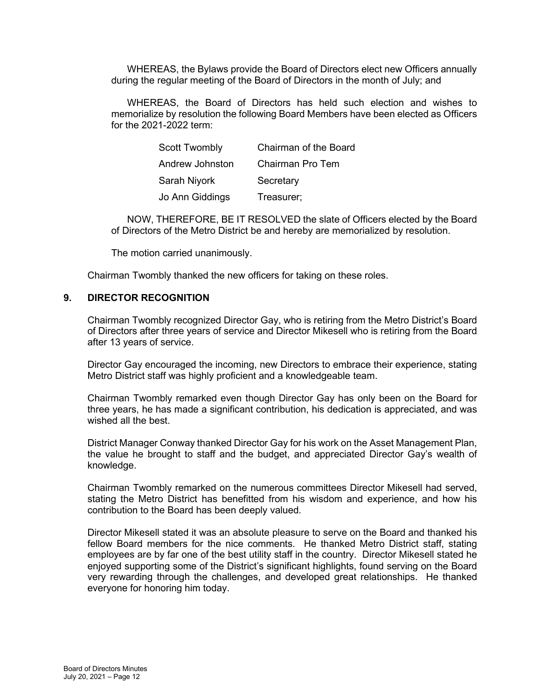WHEREAS, the Bylaws provide the Board of Directors elect new Officers annually during the regular meeting of the Board of Directors in the month of July; and

WHEREAS, the Board of Directors has held such election and wishes to memorialize by resolution the following Board Members have been elected as Officers for the 2021-2022 term:

| <b>Scott Twombly</b> | Chairman of the Board |
|----------------------|-----------------------|
| Andrew Johnston      | Chairman Pro Tem      |
| Sarah Niyork         | Secretary             |
| Jo Ann Giddings      | Treasurer;            |

NOW, THEREFORE, BE IT RESOLVED the slate of Officers elected by the Board of Directors of the Metro District be and hereby are memorialized by resolution.

The motion carried unanimously.

Chairman Twombly thanked the new officers for taking on these roles.

### **9. DIRECTOR RECOGNITION**

Chairman Twombly recognized Director Gay, who is retiring from the Metro District's Board of Directors after three years of service and Director Mikesell who is retiring from the Board after 13 years of service.

Director Gay encouraged the incoming, new Directors to embrace their experience, stating Metro District staff was highly proficient and a knowledgeable team.

Chairman Twombly remarked even though Director Gay has only been on the Board for three years, he has made a significant contribution, his dedication is appreciated, and was wished all the best.

District Manager Conway thanked Director Gay for his work on the Asset Management Plan, the value he brought to staff and the budget, and appreciated Director Gay's wealth of knowledge.

Chairman Twombly remarked on the numerous committees Director Mikesell had served, stating the Metro District has benefitted from his wisdom and experience, and how his contribution to the Board has been deeply valued.

Director Mikesell stated it was an absolute pleasure to serve on the Board and thanked his fellow Board members for the nice comments. He thanked Metro District staff, stating employees are by far one of the best utility staff in the country. Director Mikesell stated he enjoyed supporting some of the District's significant highlights, found serving on the Board very rewarding through the challenges, and developed great relationships. He thanked everyone for honoring him today.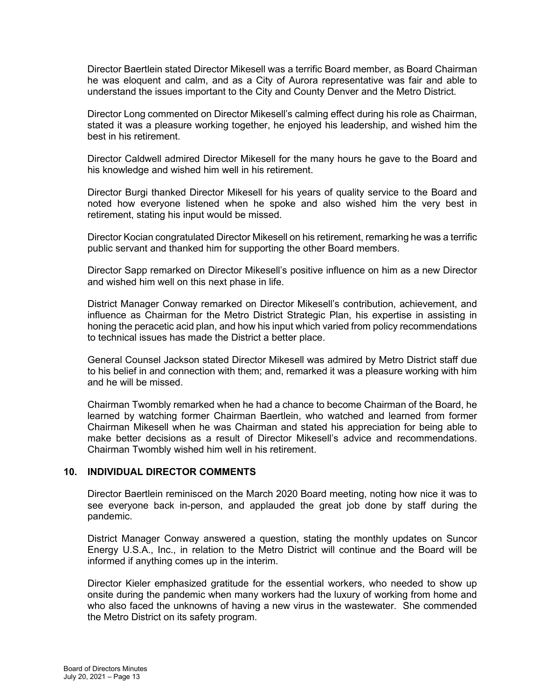Director Baertlein stated Director Mikesell was a terrific Board member, as Board Chairman he was eloquent and calm, and as a City of Aurora representative was fair and able to understand the issues important to the City and County Denver and the Metro District.

Director Long commented on Director Mikesell's calming effect during his role as Chairman, stated it was a pleasure working together, he enjoyed his leadership, and wished him the best in his retirement.

Director Caldwell admired Director Mikesell for the many hours he gave to the Board and his knowledge and wished him well in his retirement.

Director Burgi thanked Director Mikesell for his years of quality service to the Board and noted how everyone listened when he spoke and also wished him the very best in retirement, stating his input would be missed.

Director Kocian congratulated Director Mikesell on his retirement, remarking he was a terrific public servant and thanked him for supporting the other Board members.

Director Sapp remarked on Director Mikesell's positive influence on him as a new Director and wished him well on this next phase in life.

District Manager Conway remarked on Director Mikesell's contribution, achievement, and influence as Chairman for the Metro District Strategic Plan, his expertise in assisting in honing the peracetic acid plan, and how his input which varied from policy recommendations to technical issues has made the District a better place.

General Counsel Jackson stated Director Mikesell was admired by Metro District staff due to his belief in and connection with them; and, remarked it was a pleasure working with him and he will be missed.

Chairman Twombly remarked when he had a chance to become Chairman of the Board, he learned by watching former Chairman Baertlein, who watched and learned from former Chairman Mikesell when he was Chairman and stated his appreciation for being able to make better decisions as a result of Director Mikesell's advice and recommendations. Chairman Twombly wished him well in his retirement.

#### **10. INDIVIDUAL DIRECTOR COMMENTS**

Director Baertlein reminisced on the March 2020 Board meeting, noting how nice it was to see everyone back in-person, and applauded the great job done by staff during the pandemic.

District Manager Conway answered a question, stating the monthly updates on Suncor Energy U.S.A., Inc., in relation to the Metro District will continue and the Board will be informed if anything comes up in the interim.

Director Kieler emphasized gratitude for the essential workers, who needed to show up onsite during the pandemic when many workers had the luxury of working from home and who also faced the unknowns of having a new virus in the wastewater. She commended the Metro District on its safety program.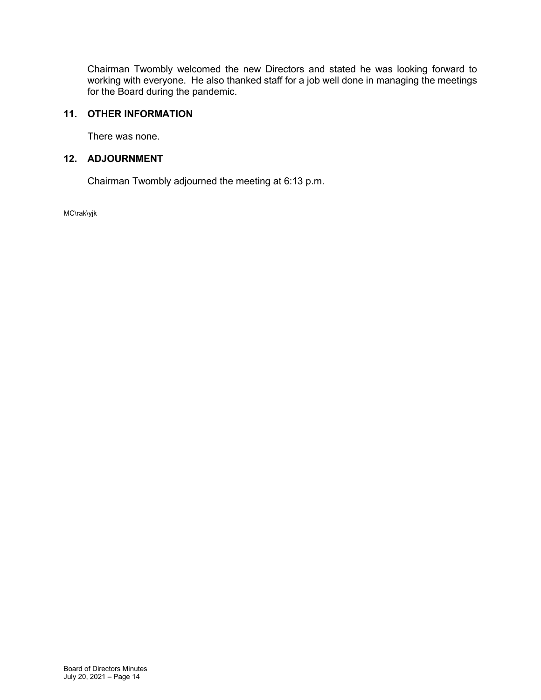Chairman Twombly welcomed the new Directors and stated he was looking forward to working with everyone. He also thanked staff for a job well done in managing the meetings for the Board during the pandemic.

# **11. OTHER INFORMATION**

There was none.

# **12. ADJOURNMENT**

Chairman Twombly adjourned the meeting at 6:13 p.m.

MC\rak\yjk